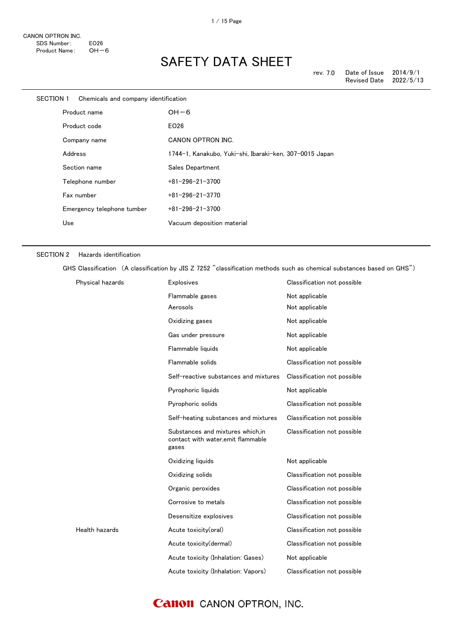| SECTION 1    | Chemicals and company identification |                                                         |
|--------------|--------------------------------------|---------------------------------------------------------|
|              | Product name                         | $OH-6$                                                  |
| Product code |                                      | EO26                                                    |
|              | Company name                         | CANON OPTRON INC.                                       |
|              | Address                              | 1744-1, Kanakubo, Yuki-shi, Ibaraki-ken, 307-0015 Japan |
|              | Section name                         | Sales Department                                        |
|              | Telephone number                     | $+81 - 296 - 21 - 3700$                                 |
|              | Fax number                           | $+81 - 296 - 21 - 3770$                                 |
|              | Emergency telephone tumber           | $+81 - 296 - 21 - 3700$                                 |
|              | Use                                  | Vacuum deposition material                              |
|              |                                      |                                                         |

#### SECTION 2 Hazards identification

GHS Classification (A classification by JIS Z 7252 "classification methods such as chemical substances based on GHS")

| Physical hazards | <b>Explosives</b>                                                                | Classification not possible |
|------------------|----------------------------------------------------------------------------------|-----------------------------|
|                  | Flammable gases                                                                  | Not applicable              |
|                  | Aerosols                                                                         | Not applicable              |
|                  | Oxidizing gases                                                                  | Not applicable              |
|                  | Gas under pressure                                                               | Not applicable              |
|                  | Flammable liquids                                                                | Not applicable              |
|                  | Flammable solids                                                                 | Classification not possible |
|                  | Self-reactive substances and mixtures                                            | Classification not possible |
|                  | Pyrophoric liquids                                                               | Not applicable              |
|                  | Pyrophoric solids                                                                | Classification not possible |
|                  | Self-heating substances and mixtures                                             | Classification not possible |
|                  | Substances and mixtures which, in<br>contact with water, emit flammable<br>gases | Classification not possible |
|                  | Oxidizing liquids                                                                | Not applicable              |
|                  | Oxidizing solids                                                                 | Classification not possible |
|                  | Organic peroxides                                                                | Classification not possible |
|                  | Corrosive to metals                                                              | Classification not possible |
|                  | Desensitize explosives                                                           | Classification not possible |
| Health hazards   | Acute toxicity(oral)                                                             | Classification not possible |
|                  | Acute toxicity(dermal)                                                           | Classification not possible |
|                  | Acute toxicity (Inhalation: Gases)                                               | Not applicable              |
|                  | Acute toxicity (Inhalation: Vapors)                                              | Classification not possible |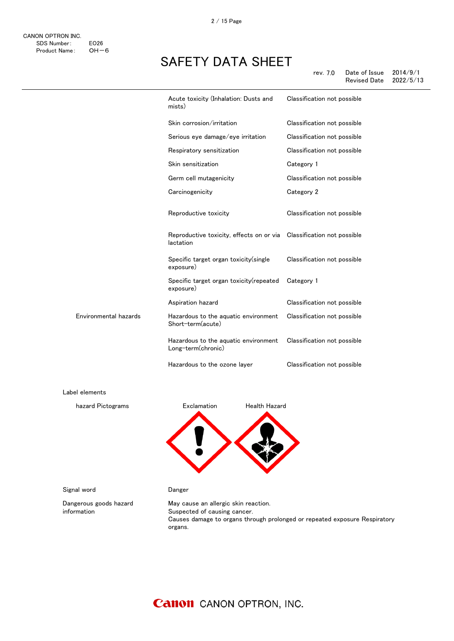|                       | Acute toxicity (Inhalation: Dusts and<br>mists)                                    | Classification not possible |
|-----------------------|------------------------------------------------------------------------------------|-----------------------------|
|                       | Skin corrosion/irritation                                                          | Classification not possible |
|                       | Serious eye damage/eye irritation                                                  | Classification not possible |
|                       | Respiratory sensitization                                                          | Classification not possible |
|                       | Skin sensitization                                                                 | Category 1                  |
|                       | Germ cell mutagenicity                                                             | Classification not possible |
|                       | Carcinogenicity                                                                    | Category 2                  |
|                       | Reproductive toxicity                                                              | Classification not possible |
|                       | Reproductive toxicity, effects on or via  Classification not possible<br>lactation |                             |
|                       | Specific target organ toxicity(single<br>exposure)                                 | Classification not possible |
|                       | Specific target organ toxicity (repeated<br>exposure)                              | Category 1                  |
|                       | Aspiration hazard                                                                  | Classification not possible |
| Environmental hazards | Hazardous to the aquatic environment<br>Short-term(acute)                          | Classification not possible |
|                       | Hazardous to the aquatic environment<br>Long-term(chronic)                         | Classification not possible |
|                       | Hazardous to the ozone layer                                                       | Classification not possible |
| Label elements        |                                                                                    |                             |
| hazard Pictograms     | Exclamation<br><b>Health Hazard</b>                                                |                             |
|                       |                                                                                    |                             |

Signal word **Danger** 

Dangerous goods hazard information

May cause an allergic skin reaction. Suspected of causing cancer. Causes damage to organs through prolonged or repeated exposure Respiratory organs.

### **Canon** CANON OPTRON, INC.

感嘆符 健康有害性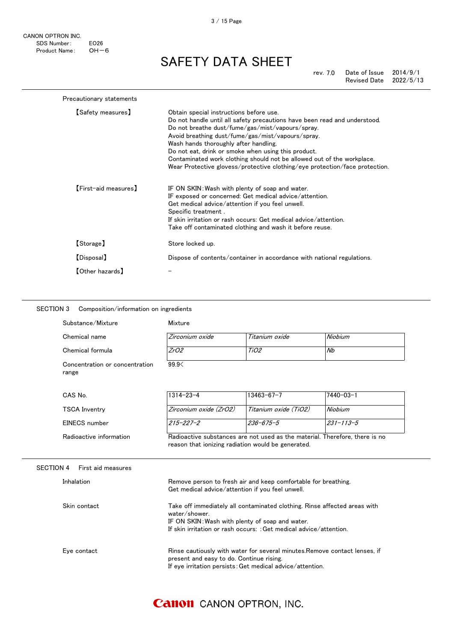CANON OPTRON INC. SDS Number: EO26<br>Product Name: OH-6 Product Name:

## SAFETY DATA SHEET

| Precautionary statements |                                                                                                                                                                                                                                                                                                                                                                                                                                                                                        |
|--------------------------|----------------------------------------------------------------------------------------------------------------------------------------------------------------------------------------------------------------------------------------------------------------------------------------------------------------------------------------------------------------------------------------------------------------------------------------------------------------------------------------|
| [Safety measures]        | Obtain special instructions before use.<br>Do not handle until all safety precautions have been read and understood.<br>Do not breathe dust/fume/gas/mist/vapours/spray.<br>Avoid breathing dust/fume/gas/mist/vapours/spray.<br>Wash hands thoroughly after handling.<br>Do not eat, drink or smoke when using this product.<br>Contaminated work clothing should not be allowed out of the workplace.<br>Wear Protective glovess/protective clothing/eye protection/face protection. |
| [First-aid measures]     | IF ON SKIN: Wash with plenty of soap and water.<br>IF exposed or concerned: Get medical advice/attention.<br>Get medical advice/attention if you feel unwell.<br>Specific treatment.<br>If skin irritation or rash occurs: Get medical advice/attention.<br>Take off contaminated clothing and wash it before reuse.                                                                                                                                                                   |
| [Storage]                | Store locked up.                                                                                                                                                                                                                                                                                                                                                                                                                                                                       |
| [Disposal]               | Dispose of contents/container in accordance with national regulations.                                                                                                                                                                                                                                                                                                                                                                                                                 |
| 【Other hazards】          |                                                                                                                                                                                                                                                                                                                                                                                                                                                                                        |

#### SECTION 3 Composition/information on ingredients

| Substance/Mixture                       | Mixture         |                |         |  |
|-----------------------------------------|-----------------|----------------|---------|--|
| Chemical name                           | Zirconium oxide | Titanium oxide | Niobium |  |
| Chemical formula                        | ZrO2            | TiO2           | Nb      |  |
| Concentration or concentration<br>range | 99.9<           |                |         |  |

| CAS No.                 | $1314 - 23 - 4$                                                                                                                   | $13463 - 67 - 7$      | 17440-03-1 |
|-------------------------|-----------------------------------------------------------------------------------------------------------------------------------|-----------------------|------------|
| <b>TSCA Inventry</b>    | Zirconium oxide (ZrO2)                                                                                                            | Titanium oxide (TiO2) | Niobium    |
| EINECS number           | $215 - 227 - 2$                                                                                                                   | 236-675-5             | 231-113-5  |
| Radioactive information | Radioactive substances are not used as the material. Therefore, there is no<br>reason that ionizing radiation would be generated. |                       |            |

#### SECTION 4 First aid measures

| Inhalation   | Remove person to fresh air and keep comfortable for breathing.<br>Get medical advice/attention if you feel unwell.                                                                                                  |
|--------------|---------------------------------------------------------------------------------------------------------------------------------------------------------------------------------------------------------------------|
| Skin contact | Take off immediately all contaminated clothing. Rinse affected areas with<br>water/shower.<br>IF ON SKIN: Wash with plenty of soap and water.<br>If skin irritation or rash occurs: : Get medical advice/attention. |
| Eye contact  | Rinse cautiously with water for several minutes. Remove contact lenses, if<br>present and easy to do. Continue rising.<br>If eye irritation persists: Get medical advice/attention.                                 |

#### 3 / 15 Page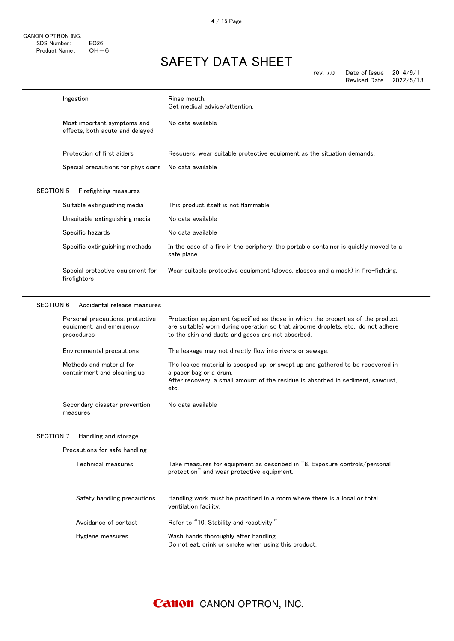rev. 7.0 Date of Issue 2014/9/1

|                  |                                                                            | Revised Date<br>2022/5/13                                                                                                                                                                                                  |
|------------------|----------------------------------------------------------------------------|----------------------------------------------------------------------------------------------------------------------------------------------------------------------------------------------------------------------------|
|                  | Ingestion                                                                  | Rinse mouth.<br>Get medical advice/attention.                                                                                                                                                                              |
|                  | Most important symptoms and<br>effects, both acute and delayed             | No data available                                                                                                                                                                                                          |
|                  | Protection of first aiders                                                 | Rescuers, wear suitable protective equipment as the situation demands.                                                                                                                                                     |
|                  | Special precautions for physicians                                         | No data available                                                                                                                                                                                                          |
| <b>SECTION 5</b> | Firefighting measures                                                      |                                                                                                                                                                                                                            |
|                  | Suitable extinguishing media                                               | This product itself is not flammable.                                                                                                                                                                                      |
|                  | Unsuitable extinguishing media                                             | No data available                                                                                                                                                                                                          |
|                  | Specific hazards                                                           | No data available                                                                                                                                                                                                          |
|                  | Specific extinguishing methods                                             | In the case of a fire in the periphery, the portable container is quickly moved to a<br>safe place.                                                                                                                        |
|                  | Special protective equipment for<br>firefighters                           | Wear suitable protective equipment (gloves, glasses and a mask) in fire-fighting.                                                                                                                                          |
| <b>SECTION 6</b> | Accidental release measures                                                |                                                                                                                                                                                                                            |
|                  | Personal precautions, protective<br>equipment, and emergency<br>procedures | Protection equipment (specified as those in which the properties of the product<br>are suitable) worn during operation so that airborne droplets, etc., do not adhere<br>to the skin and dusts and gases are not absorbed. |
|                  | Environmental precautions                                                  | The leakage may not directly flow into rivers or sewage.                                                                                                                                                                   |
|                  | Methods and material for<br>containment and cleaning up                    | The leaked material is scooped up, or swept up and gathered to be recovered in<br>a paper bag or a drum.<br>After recovery, a small amount of the residue is absorbed in sediment, sawdust,<br>etc.                        |
|                  | Secondary disaster prevention<br>measures                                  | No data available                                                                                                                                                                                                          |
| <b>SECTION 7</b> | Handling and storage                                                       |                                                                                                                                                                                                                            |
|                  | Precautions for safe handling                                              |                                                                                                                                                                                                                            |
|                  | Technical measures                                                         | Take measures for equipment as described in "8. Exposure controls/personal<br>protection" and wear protective equipment.                                                                                                   |
|                  | Safety handling precautions                                                | Handling work must be practiced in a room where there is a local or total<br>ventilation facility.                                                                                                                         |
|                  | Avoidance of contact                                                       | Refer to "10. Stability and reactivity."                                                                                                                                                                                   |
|                  | Hygiene measures                                                           | Wash hands thoroughly after handling.<br>Do not eat, drink or smoke when using this product.                                                                                                                               |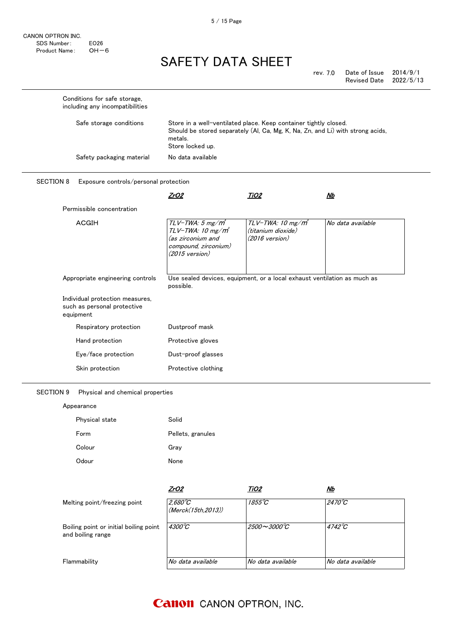5 / 15 Page

# SAFETY DATA SHEET

| rev. 7.0 | Date of Issue       | 2014/9/1  |
|----------|---------------------|-----------|
|          | <b>Revised Date</b> | 2022/5/13 |

| including any incompatibilities                                             |                                                                                                                                    |                                                                                                                                                    |                   |
|-----------------------------------------------------------------------------|------------------------------------------------------------------------------------------------------------------------------------|----------------------------------------------------------------------------------------------------------------------------------------------------|-------------------|
| Safe storage conditions                                                     | metals.<br>Store locked up.                                                                                                        | Store in a well-ventilated place. Keep container tightly closed.<br>Should be stored separately (Al, Ca, Mg, K, Na, Zn, and Li) with strong acids, |                   |
| Safety packaging material                                                   | No data available                                                                                                                  |                                                                                                                                                    |                   |
| <b>SECTION 8</b><br>Exposure controls/personal protection                   |                                                                                                                                    |                                                                                                                                                    |                   |
|                                                                             | <u>ZrO2</u>                                                                                                                        | <u>TiO2</u>                                                                                                                                        | Nb                |
| Permissible concentration                                                   |                                                                                                                                    |                                                                                                                                                    |                   |
| <b>ACGIH</b>                                                                | $TLV$ -TWA: 5 mg/ $m^3$<br>$TLV$ -TWA: 10 mg/m $^{\circ}$<br>(as zirconium and<br>compound, zirconium)<br>$(2015 \text{ version})$ | TLV-TWA: 10 mg/m<br>(titanium dioxide)<br>(2016 version)                                                                                           | No data available |
| Appropriate engineering controls                                            | possible.                                                                                                                          | Use sealed devices, equipment, or a local exhaust ventilation as much as                                                                           |                   |
| Individual protection measures,<br>such as personal protective<br>equipment |                                                                                                                                    |                                                                                                                                                    |                   |
| Respiratory protection                                                      | Dustproof mask                                                                                                                     |                                                                                                                                                    |                   |
| Hand protection                                                             | Protective gloves                                                                                                                  |                                                                                                                                                    |                   |
| Eye/face protection                                                         | Dust-proof glasses                                                                                                                 |                                                                                                                                                    |                   |
|                                                                             |                                                                                                                                    |                                                                                                                                                    |                   |

### SECTION 9 Physical and chemical properties

| Appearance     |                   |  |  |  |
|----------------|-------------------|--|--|--|
| Physical state | Solid             |  |  |  |
| Form           | Pellets, granules |  |  |  |
| Colour         | Gray              |  |  |  |
| Odour          | None              |  |  |  |

|                                                             | <u>ZrO2</u>                             | TiO2                                 | <u>Nb</u>         |
|-------------------------------------------------------------|-----------------------------------------|--------------------------------------|-------------------|
| Melting point/freezing point                                | $2,680^{\circ}$ C<br>(Merck(15th.2013)) | 1855°C                               | $2470^{\circ}C$   |
| Boiling point or initial boiling point<br>and boiling range | $4300^{\circ}C$                         | $2500\!\sim\!3000\mathrm{^\circ\!C}$ | $4742^{\circ}C$   |
| Flammability                                                | No data available                       | No data available                    | No data available |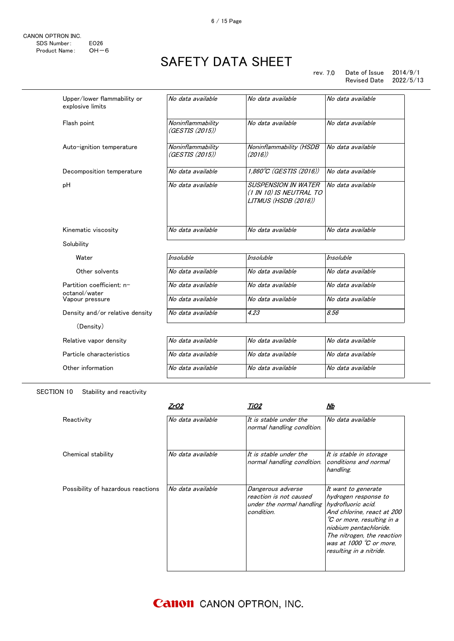rev. 7.0 Date of Issue 2014/9/1 Revised Date

| Upper/lower flammability or<br>explosive limits | No data available                    | No data available                                                             | No data available |
|-------------------------------------------------|--------------------------------------|-------------------------------------------------------------------------------|-------------------|
| Flash point                                     | Noninflammability<br>(GESTIS (2015)) | No data available                                                             | No data available |
| Auto-ignition temperature                       | Noninflammability<br>(GESTIS (2015)) | Noninflammability (HSDB<br>(2016)                                             | No data available |
| Decomposition temperature                       | No data available                    | 1,860°C (GESTIS (2016))                                                       | No data available |
| pH                                              | No data available                    | <b>SUSPENSION IN WATER</b><br>(1 IN 10) IS NEUTRAL TO<br>LITMUS (HSDB (2016)) | No data available |
| Kinematic viscosity                             | No data available                    | No data available                                                             | No data available |
| Solubility                                      |                                      |                                                                               |                   |
| Water                                           | <b>Insoluble</b>                     | <b>Insoluble</b>                                                              | <b>Insoluble</b>  |
| Other solvents                                  | No data available                    | No data available                                                             | No data available |
| Partition coefficient: n-                       | No data available                    | No data available                                                             | No data available |
| octanol/water<br>Vapour pressure                | No data available                    | No data available                                                             | No data available |
| Density and/or relative density                 | No data available                    | 4.23                                                                          | 8.56              |
| (Density)                                       |                                      |                                                                               |                   |
| Relative vapor density                          | No data available                    | No data available                                                             | No data available |
| Particle characteristics                        | No data available                    | No data available                                                             | No data available |
| Other information                               | No data available                    | No data available                                                             | No data available |

#### SECTION 10 Stability and reactivity

|                                    | ZrO2              | TiO2                                                                                   | Nb                                                                                                                                                                                                                                                   |
|------------------------------------|-------------------|----------------------------------------------------------------------------------------|------------------------------------------------------------------------------------------------------------------------------------------------------------------------------------------------------------------------------------------------------|
| Reactivitv                         | No data available | It is stable under the<br>normal handling condition.                                   | No data available                                                                                                                                                                                                                                    |
| Chemical stability                 | No data available | It is stable under the<br>normal handling condition.                                   | It is stable in storage<br>conditions and normal<br>handling.                                                                                                                                                                                        |
| Possibility of hazardous reactions | No data available | Dangerous adverse<br>reaction is not caused<br>under the normal handling<br>condition. | It want to generate<br>hydrogen response to<br>hydrofluoric acid.<br>And chlorine, react at 200<br>°C or more, resulting in a<br>niobium pentachloride.<br>The nitrogen, the reaction<br>was at 1000 $\degree$ C or more.<br>resulting in a nitride. |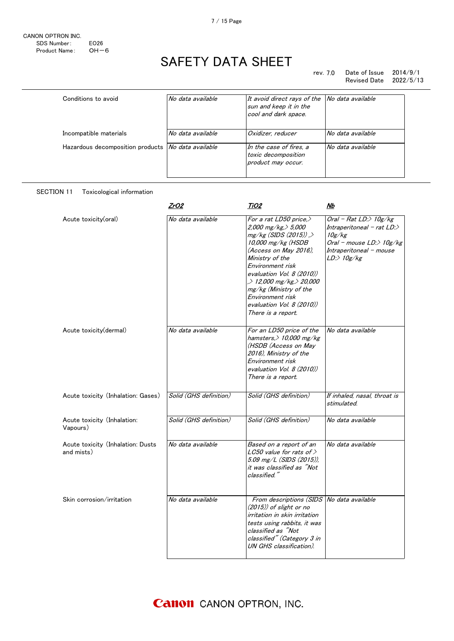$\overline{a}$ 

# SAFETY DATA SHEET

| Conditions to avoid                                  | No data available | It avoid direct rays of the<br>sun and keep it in the<br>cool and dark space. | No data available |
|------------------------------------------------------|-------------------|-------------------------------------------------------------------------------|-------------------|
| Incompatible materials                               | No data available | Oxidizer, reducer                                                             | No data available |
| Hazardous decomposition products   No data available |                   | In the case of fires, a<br>toxic decomposition<br>product may occur.          | No data available |

#### SECTION 11 Toxicological information

|                                                 | <u>ZrO2</u>            | TiO2                                                                                                                                                                                                                                                                                                                                | <u>Nb</u>                                                                                                                                    |
|-------------------------------------------------|------------------------|-------------------------------------------------------------------------------------------------------------------------------------------------------------------------------------------------------------------------------------------------------------------------------------------------------------------------------------|----------------------------------------------------------------------------------------------------------------------------------------------|
| Acute toxicity(oral)                            | No data available      | For a rat LD50 price,><br>2,000 mg/kg, $>$ 5,000<br>$mg/kg$ (SIDS (2015)).<br>10,000 mg/kg (HSDB<br>(Access on May 2016).<br>Ministry of the<br>Environment risk<br>evaluation Vol. 8 (2010))<br>$\geq 12,000$ mg/kg $\geq 20,000$<br>mg/kg (Ministry of the<br>Environment risk<br>evaluation Vol. 8 (2010))<br>There is a report. | Oral - Rat LD: $>$ 10g/kg<br>Intraperitoneal - rat LD:><br>10g/kg<br>Oral - mouse LD:> 10g/kg<br>Intraperitoneal - mouse<br>$LD$ :> $10g/kg$ |
| Acute toxicity (dermal)                         | No data available      | For an LD50 price of the<br>hamsters, $> 10,000$ mg/kg<br>(HSDB (Access on May<br>2016), Ministry of the<br>Environment risk<br>evaluation Vol. 8 (2010))<br>There is a report.                                                                                                                                                     | No data available                                                                                                                            |
| Acute toxicity (Inhalation: Gases)              | Solid (GHS definition) | Solid (GHS definition)                                                                                                                                                                                                                                                                                                              | If inhaled, nasal, throat is<br>stimulated.                                                                                                  |
| Acute toxicity (Inhalation:<br>Vapours)         | Solid (GHS definition) | Solid (GHS definition)                                                                                                                                                                                                                                                                                                              | No data available                                                                                                                            |
| Acute toxicity (Inhalation: Dusts<br>and mists) | No data available      | Based on a report of an<br>LC50 value for rats of $>$<br>5.09 mg/L (SIDS (2015)),<br>it was classified as "Not<br>classified."                                                                                                                                                                                                      | No data available                                                                                                                            |
| Skin corrosion/irritation                       | No data available      | From descriptions (SIDS No data available<br>$(2015)$ of slight or no<br>irritation in skin irritation<br>tests using rabbits, it was<br>classified as "Not<br>classified" (Category 3 in<br>UN GHS classification).                                                                                                                |                                                                                                                                              |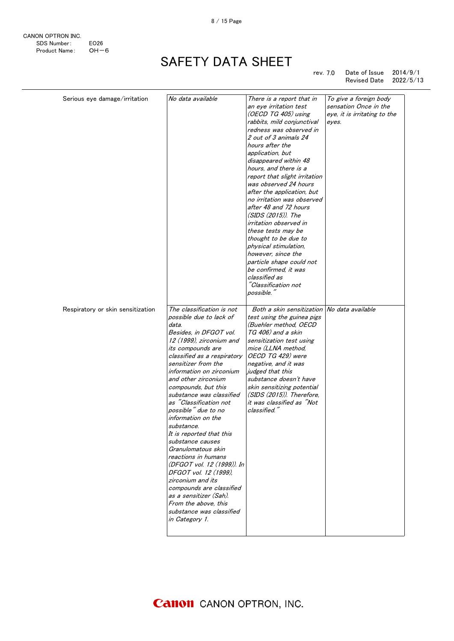CANON OPTRON INC. SDS Number: EO26 Product Name: OH-6

# SAFETY DATA SHEET

#### rev. 7.0 Date of Issue 2014/9/1 Revised Date 2022/5/13

| rabbits, mild conjunctival<br>eyes.<br>redness was observed in<br>2 out of 3 animals 24<br>hours after the<br>application, but<br>disappeared within 48<br>hours, and there is a<br>report that slight irritation<br>was observed 24 hours<br>after the application, but<br>no irritation was observed<br>after 48 and 72 hours<br>$(SIDS (2015))$ . The<br>irritation observed in<br>these tests may be<br>thought to be due to<br>physical stimulation,<br>however, since the<br>particle shape could not<br>be confirmed, it was<br>classified as<br>"Classification not<br>possible."<br>The classification is not<br>Both a skin sensitization No data available<br>Respiratory or skin sensitization<br>possible due to lack of<br>test using the guinea pigs<br>(Buehler method, OECD<br>data.<br>TG 406) and a skin<br>Besides, in DFGOT vol.<br>12 (1999), zirconium and<br>sensitization test using<br>mice (LLNA method,<br>its compounds are<br>OECD TG 429) were<br>classified as a respiratory<br>sensitizer from the<br>negative, and it was<br>information on zirconium<br>judged that this<br>and other zirconium<br>substance doesn't have<br>compounds, but this<br>skin sensitizing potential<br>substance was classified<br>(SIDS (2015)). Therefore.<br>as "Classification not<br>it was classified as "Not<br>possible" due to no<br>classified." |  |
|--------------------------------------------------------------------------------------------------------------------------------------------------------------------------------------------------------------------------------------------------------------------------------------------------------------------------------------------------------------------------------------------------------------------------------------------------------------------------------------------------------------------------------------------------------------------------------------------------------------------------------------------------------------------------------------------------------------------------------------------------------------------------------------------------------------------------------------------------------------------------------------------------------------------------------------------------------------------------------------------------------------------------------------------------------------------------------------------------------------------------------------------------------------------------------------------------------------------------------------------------------------------------------------------------------------------------------------------------------------------------|--|
|                                                                                                                                                                                                                                                                                                                                                                                                                                                                                                                                                                                                                                                                                                                                                                                                                                                                                                                                                                                                                                                                                                                                                                                                                                                                                                                                                                          |  |
|                                                                                                                                                                                                                                                                                                                                                                                                                                                                                                                                                                                                                                                                                                                                                                                                                                                                                                                                                                                                                                                                                                                                                                                                                                                                                                                                                                          |  |
|                                                                                                                                                                                                                                                                                                                                                                                                                                                                                                                                                                                                                                                                                                                                                                                                                                                                                                                                                                                                                                                                                                                                                                                                                                                                                                                                                                          |  |
|                                                                                                                                                                                                                                                                                                                                                                                                                                                                                                                                                                                                                                                                                                                                                                                                                                                                                                                                                                                                                                                                                                                                                                                                                                                                                                                                                                          |  |
|                                                                                                                                                                                                                                                                                                                                                                                                                                                                                                                                                                                                                                                                                                                                                                                                                                                                                                                                                                                                                                                                                                                                                                                                                                                                                                                                                                          |  |
|                                                                                                                                                                                                                                                                                                                                                                                                                                                                                                                                                                                                                                                                                                                                                                                                                                                                                                                                                                                                                                                                                                                                                                                                                                                                                                                                                                          |  |
|                                                                                                                                                                                                                                                                                                                                                                                                                                                                                                                                                                                                                                                                                                                                                                                                                                                                                                                                                                                                                                                                                                                                                                                                                                                                                                                                                                          |  |
|                                                                                                                                                                                                                                                                                                                                                                                                                                                                                                                                                                                                                                                                                                                                                                                                                                                                                                                                                                                                                                                                                                                                                                                                                                                                                                                                                                          |  |
|                                                                                                                                                                                                                                                                                                                                                                                                                                                                                                                                                                                                                                                                                                                                                                                                                                                                                                                                                                                                                                                                                                                                                                                                                                                                                                                                                                          |  |
|                                                                                                                                                                                                                                                                                                                                                                                                                                                                                                                                                                                                                                                                                                                                                                                                                                                                                                                                                                                                                                                                                                                                                                                                                                                                                                                                                                          |  |
|                                                                                                                                                                                                                                                                                                                                                                                                                                                                                                                                                                                                                                                                                                                                                                                                                                                                                                                                                                                                                                                                                                                                                                                                                                                                                                                                                                          |  |
|                                                                                                                                                                                                                                                                                                                                                                                                                                                                                                                                                                                                                                                                                                                                                                                                                                                                                                                                                                                                                                                                                                                                                                                                                                                                                                                                                                          |  |
|                                                                                                                                                                                                                                                                                                                                                                                                                                                                                                                                                                                                                                                                                                                                                                                                                                                                                                                                                                                                                                                                                                                                                                                                                                                                                                                                                                          |  |
|                                                                                                                                                                                                                                                                                                                                                                                                                                                                                                                                                                                                                                                                                                                                                                                                                                                                                                                                                                                                                                                                                                                                                                                                                                                                                                                                                                          |  |
|                                                                                                                                                                                                                                                                                                                                                                                                                                                                                                                                                                                                                                                                                                                                                                                                                                                                                                                                                                                                                                                                                                                                                                                                                                                                                                                                                                          |  |
|                                                                                                                                                                                                                                                                                                                                                                                                                                                                                                                                                                                                                                                                                                                                                                                                                                                                                                                                                                                                                                                                                                                                                                                                                                                                                                                                                                          |  |
|                                                                                                                                                                                                                                                                                                                                                                                                                                                                                                                                                                                                                                                                                                                                                                                                                                                                                                                                                                                                                                                                                                                                                                                                                                                                                                                                                                          |  |
|                                                                                                                                                                                                                                                                                                                                                                                                                                                                                                                                                                                                                                                                                                                                                                                                                                                                                                                                                                                                                                                                                                                                                                                                                                                                                                                                                                          |  |
|                                                                                                                                                                                                                                                                                                                                                                                                                                                                                                                                                                                                                                                                                                                                                                                                                                                                                                                                                                                                                                                                                                                                                                                                                                                                                                                                                                          |  |
|                                                                                                                                                                                                                                                                                                                                                                                                                                                                                                                                                                                                                                                                                                                                                                                                                                                                                                                                                                                                                                                                                                                                                                                                                                                                                                                                                                          |  |
|                                                                                                                                                                                                                                                                                                                                                                                                                                                                                                                                                                                                                                                                                                                                                                                                                                                                                                                                                                                                                                                                                                                                                                                                                                                                                                                                                                          |  |
|                                                                                                                                                                                                                                                                                                                                                                                                                                                                                                                                                                                                                                                                                                                                                                                                                                                                                                                                                                                                                                                                                                                                                                                                                                                                                                                                                                          |  |
|                                                                                                                                                                                                                                                                                                                                                                                                                                                                                                                                                                                                                                                                                                                                                                                                                                                                                                                                                                                                                                                                                                                                                                                                                                                                                                                                                                          |  |
|                                                                                                                                                                                                                                                                                                                                                                                                                                                                                                                                                                                                                                                                                                                                                                                                                                                                                                                                                                                                                                                                                                                                                                                                                                                                                                                                                                          |  |
|                                                                                                                                                                                                                                                                                                                                                                                                                                                                                                                                                                                                                                                                                                                                                                                                                                                                                                                                                                                                                                                                                                                                                                                                                                                                                                                                                                          |  |
|                                                                                                                                                                                                                                                                                                                                                                                                                                                                                                                                                                                                                                                                                                                                                                                                                                                                                                                                                                                                                                                                                                                                                                                                                                                                                                                                                                          |  |
|                                                                                                                                                                                                                                                                                                                                                                                                                                                                                                                                                                                                                                                                                                                                                                                                                                                                                                                                                                                                                                                                                                                                                                                                                                                                                                                                                                          |  |
|                                                                                                                                                                                                                                                                                                                                                                                                                                                                                                                                                                                                                                                                                                                                                                                                                                                                                                                                                                                                                                                                                                                                                                                                                                                                                                                                                                          |  |
|                                                                                                                                                                                                                                                                                                                                                                                                                                                                                                                                                                                                                                                                                                                                                                                                                                                                                                                                                                                                                                                                                                                                                                                                                                                                                                                                                                          |  |
|                                                                                                                                                                                                                                                                                                                                                                                                                                                                                                                                                                                                                                                                                                                                                                                                                                                                                                                                                                                                                                                                                                                                                                                                                                                                                                                                                                          |  |
|                                                                                                                                                                                                                                                                                                                                                                                                                                                                                                                                                                                                                                                                                                                                                                                                                                                                                                                                                                                                                                                                                                                                                                                                                                                                                                                                                                          |  |
|                                                                                                                                                                                                                                                                                                                                                                                                                                                                                                                                                                                                                                                                                                                                                                                                                                                                                                                                                                                                                                                                                                                                                                                                                                                                                                                                                                          |  |
| information on the                                                                                                                                                                                                                                                                                                                                                                                                                                                                                                                                                                                                                                                                                                                                                                                                                                                                                                                                                                                                                                                                                                                                                                                                                                                                                                                                                       |  |
| substance.                                                                                                                                                                                                                                                                                                                                                                                                                                                                                                                                                                                                                                                                                                                                                                                                                                                                                                                                                                                                                                                                                                                                                                                                                                                                                                                                                               |  |
| It is reported that this                                                                                                                                                                                                                                                                                                                                                                                                                                                                                                                                                                                                                                                                                                                                                                                                                                                                                                                                                                                                                                                                                                                                                                                                                                                                                                                                                 |  |
| substance causes                                                                                                                                                                                                                                                                                                                                                                                                                                                                                                                                                                                                                                                                                                                                                                                                                                                                                                                                                                                                                                                                                                                                                                                                                                                                                                                                                         |  |
| Granulomatous skin                                                                                                                                                                                                                                                                                                                                                                                                                                                                                                                                                                                                                                                                                                                                                                                                                                                                                                                                                                                                                                                                                                                                                                                                                                                                                                                                                       |  |
| reactions in humans                                                                                                                                                                                                                                                                                                                                                                                                                                                                                                                                                                                                                                                                                                                                                                                                                                                                                                                                                                                                                                                                                                                                                                                                                                                                                                                                                      |  |
| (DFGOT vol. 12 (1999)). In<br>DFGOT vol. 12 (1999).                                                                                                                                                                                                                                                                                                                                                                                                                                                                                                                                                                                                                                                                                                                                                                                                                                                                                                                                                                                                                                                                                                                                                                                                                                                                                                                      |  |
| zirconium and its                                                                                                                                                                                                                                                                                                                                                                                                                                                                                                                                                                                                                                                                                                                                                                                                                                                                                                                                                                                                                                                                                                                                                                                                                                                                                                                                                        |  |
| compounds are classified                                                                                                                                                                                                                                                                                                                                                                                                                                                                                                                                                                                                                                                                                                                                                                                                                                                                                                                                                                                                                                                                                                                                                                                                                                                                                                                                                 |  |
| as a sensitizer (Sah).                                                                                                                                                                                                                                                                                                                                                                                                                                                                                                                                                                                                                                                                                                                                                                                                                                                                                                                                                                                                                                                                                                                                                                                                                                                                                                                                                   |  |
| From the above, this                                                                                                                                                                                                                                                                                                                                                                                                                                                                                                                                                                                                                                                                                                                                                                                                                                                                                                                                                                                                                                                                                                                                                                                                                                                                                                                                                     |  |
| substance was classified                                                                                                                                                                                                                                                                                                                                                                                                                                                                                                                                                                                                                                                                                                                                                                                                                                                                                                                                                                                                                                                                                                                                                                                                                                                                                                                                                 |  |
| in Category 1.                                                                                                                                                                                                                                                                                                                                                                                                                                                                                                                                                                                                                                                                                                                                                                                                                                                                                                                                                                                                                                                                                                                                                                                                                                                                                                                                                           |  |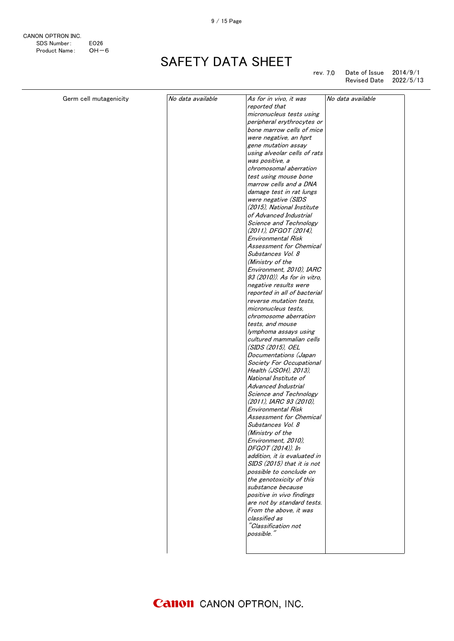CANON OPTRON INC. SDS Number: EO26<br>Product Name: OH-6 Product Name:

# SAFETY DATA SHEET

rev. 7.0 Date of Issue 2014/9/1 Revised Date 2022/5/13

| Germ cell mutagenicity | No data available | No data available<br>As for in vivo, it was |  |
|------------------------|-------------------|---------------------------------------------|--|
|                        |                   | reported that                               |  |
|                        |                   | micronucleus tests using                    |  |
|                        |                   | peripheral erythrocytes or                  |  |
|                        |                   | bone marrow cells of mice                   |  |
|                        |                   | were negative, an hprt                      |  |
|                        |                   | gene mutation assay                         |  |
|                        |                   | using alveolar cells of rats                |  |
|                        |                   | was positive, a                             |  |
|                        |                   | chromosomal aberration                      |  |
|                        |                   | test using mouse bone                       |  |
|                        |                   | marrow cells and a DNA                      |  |
|                        |                   | damage test in rat lungs                    |  |
|                        |                   | were negative (SIDS                         |  |
|                        |                   | (2015), National Institute                  |  |
|                        |                   | of Advanced Industrial                      |  |
|                        |                   | Science and Technology                      |  |
|                        |                   | (2011), DFGOT (2014),                       |  |
|                        |                   | <b>Environmental Risk</b>                   |  |
|                        |                   | Assessment for Chemical                     |  |
|                        |                   | Substances Vol. 8                           |  |
|                        |                   | (Ministry of the                            |  |
|                        |                   | Environment, 2010), IARC                    |  |
|                        |                   | 93 (2010)). As for in vitro.                |  |
|                        |                   | negative results were                       |  |
|                        |                   | reported in all of bacterial                |  |
|                        |                   | reverse mutation tests,                     |  |
|                        |                   | micronucleus tests,                         |  |
|                        |                   | chromosome aberration                       |  |
|                        |                   | tests, and mouse                            |  |
|                        |                   | lymphoma assays using                       |  |
|                        |                   | cultured mammalian cells                    |  |
|                        |                   | (SIDS (2015), OEL                           |  |
|                        |                   | Documentations (Japan                       |  |
|                        |                   | Society For Occupational                    |  |
|                        |                   | Health (JSOH), 2013),                       |  |
|                        |                   | National Institute of                       |  |
|                        |                   | Advanced Industrial                         |  |
|                        |                   | Science and Technology                      |  |
|                        |                   | (2011). IARC 93 (2010).                     |  |
|                        |                   | <b>Environmental Risk</b>                   |  |
|                        |                   | Assessment for Chemical                     |  |
|                        |                   | Substances Vol. 8                           |  |
|                        |                   | (Ministry of the                            |  |
|                        |                   | Environment, 2010),                         |  |
|                        |                   | DFGOT (2014)). In                           |  |
|                        |                   | addition, it is evaluated in                |  |
|                        |                   | SIDS (2015) that it is not                  |  |
|                        |                   | possible to conclude on                     |  |
|                        |                   | the genotoxicity of this                    |  |
|                        |                   | substance because                           |  |
|                        |                   | positive in vivo findings                   |  |
|                        |                   | are not by standard tests.                  |  |
|                        |                   | From the above, it was                      |  |
|                        |                   | classified as                               |  |
|                        |                   | "Classification not                         |  |
|                        |                   | possible."                                  |  |
|                        |                   |                                             |  |
|                        |                   |                                             |  |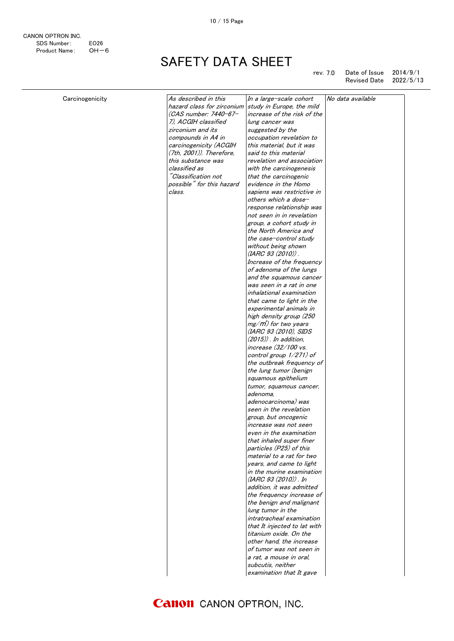10 / 15 Page

| Carcinogenicity | As described in this       | In a large-scale cohort           | No data available |
|-----------------|----------------------------|-----------------------------------|-------------------|
|                 | hazard class for zirconium | study in Europe, the mild         |                   |
|                 | (CAS number: 7440-67-      | increase of the risk of the       |                   |
|                 | 7). ACGIH classified       | lung cancer was                   |                   |
|                 | zirconium and its          | suggested by the                  |                   |
|                 | compounds in A4 in         | occupation revelation to          |                   |
|                 | carcinogenicity (ACGIH     | this material, but it was         |                   |
|                 | (7th, 2001)). Therefore,   | said to this material             |                   |
|                 | this substance was         | revelation and association        |                   |
|                 | classified as              | with the carcinogenesis           |                   |
|                 | "Classification not        | that the carcinogenic             |                   |
|                 | possible" for this hazard  | evidence in the Homo              |                   |
|                 | class.                     | sapiens was restrictive in        |                   |
|                 |                            | others which a dose-              |                   |
|                 |                            | response relationship was         |                   |
|                 |                            | not seen in in revelation         |                   |
|                 |                            |                                   |                   |
|                 |                            | group, a cohort study in          |                   |
|                 |                            | the North America and             |                   |
|                 |                            | the case-control study            |                   |
|                 |                            | without being shown               |                   |
|                 |                            | (IARC 93 (2010)).                 |                   |
|                 |                            | Increase of the frequency         |                   |
|                 |                            | of adenoma of the lungs           |                   |
|                 |                            | and the squamous cancer           |                   |
|                 |                            | was seen in a rat in one          |                   |
|                 |                            | inhalational examination          |                   |
|                 |                            | that came to light in the         |                   |
|                 |                            | experimental animals in           |                   |
|                 |                            | high density group (250           |                   |
|                 |                            | mg/m <sup>*</sup> ) for two years |                   |
|                 |                            | (IARC 93 (2010), SIDS             |                   |
|                 |                            | $(2015)$ . In addition,           |                   |
|                 |                            | increase (32/100 vs.              |                   |
|                 |                            | control group 1/271) of           |                   |
|                 |                            | the outbreak frequency of         |                   |
|                 |                            | the lung tumor (benign            |                   |
|                 |                            | squamous epithelium               |                   |
|                 |                            | tumor, squamous cancer,           |                   |
|                 |                            | adenoma.                          |                   |
|                 |                            | adenocarcinoma) was               |                   |
|                 |                            | seen in the revelation            |                   |
|                 |                            | group, but oncogenic              |                   |
|                 |                            | increase was not seen             |                   |
|                 |                            | even in the examination           |                   |
|                 |                            | that inhaled super finer          |                   |
|                 |                            | particles (P25) of this           |                   |
|                 |                            | material to a rat for two         |                   |
|                 |                            | years, and came to light          |                   |
|                 |                            | in the murine examination         |                   |
|                 |                            | (IARC 93 (2010)) . In             |                   |
|                 |                            | addition, it was admitted         |                   |
|                 |                            | the frequency increase of         |                   |
|                 |                            |                                   |                   |
|                 |                            | the benign and malignant          |                   |
|                 |                            | lung tumor in the                 |                   |
|                 |                            | intratracheal examination         |                   |
|                 |                            | that It injected to lat with      |                   |
|                 |                            | titanium oxide. On the            |                   |
|                 |                            | other hand, the increase          |                   |
|                 |                            | of tumor was not seen in          |                   |
|                 |                            | a rat, a mouse in oral,           |                   |
|                 |                            | subcutis, neither                 |                   |
|                 |                            | examination that It gave          |                   |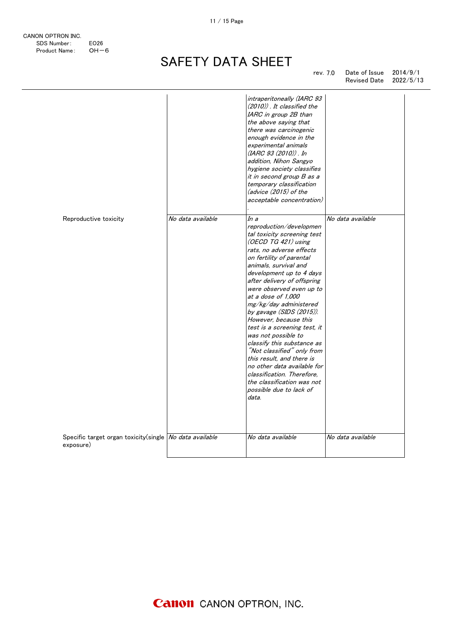#### SAFETY DATA SHEET SHEET **hand** of tumor was not seen in

11 / 15 Page

|                                                                      |                   | intraperitoneally (IARC 93<br>(2010)). It classified the<br>IARC in group 2B than<br>the above saying that<br>there was carcinogenic<br>enough evidence in the<br>experimental animals<br>(IARC 93 (2010)) . In<br>addition, Nihon Sangyo<br>hygiene society classifies<br>it in second group B as a<br>temporary classification<br>(advice (2015) of the<br>acceptable concentration)                                                                                                                                                                                                                                                                  |                   |
|----------------------------------------------------------------------|-------------------|---------------------------------------------------------------------------------------------------------------------------------------------------------------------------------------------------------------------------------------------------------------------------------------------------------------------------------------------------------------------------------------------------------------------------------------------------------------------------------------------------------------------------------------------------------------------------------------------------------------------------------------------------------|-------------------|
| Reproductive toxicity                                                | No data available | In a<br>reproduction/developmen<br>tal toxicity screening test<br>(OECD TG $421$ ) using<br>rats, no adverse effects<br>on fertility of parental<br>animals, survival and<br>development up to 4 days<br>after delivery of offspring<br>were observed even up to<br>at a dose of 1,000<br>mg/kg/day administered<br>by gavage $(SIDS (2015))$ .<br>However, because this<br>test is a screening test, it<br>was not possible to<br>classify this substance as<br>"Not classified" only from<br>this result, and there is<br>no other data available for<br>classification. Therefore.<br>the classification was not<br>possible due to lack of<br>data. | No data available |
| Specific target organ toxicity(single No data available<br>exposure) |                   | No data available                                                                                                                                                                                                                                                                                                                                                                                                                                                                                                                                                                                                                                       | No data available |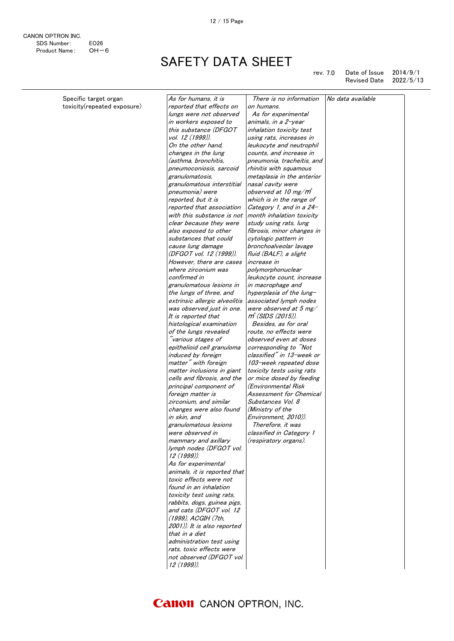CANON OPTRON INC. SDS Number: EO26<br>Product Name: OH-6 Product Name:

SAFETY DATA SHEET

rev. 7.0 Date of Issue 2014/9/1 Revised Date 2022/5/13

| Specific target organ<br>toxicity(repeated exposure) | As for humans, it is<br>reported that effects on       | There is no information<br>on humans. | No data available |
|------------------------------------------------------|--------------------------------------------------------|---------------------------------------|-------------------|
|                                                      | lungs were not observed                                | As for experimental                   |                   |
|                                                      | in workers exposed to                                  | animals, in a 2-year                  |                   |
|                                                      | this substance (DFGOT                                  | inhalation toxicity test              |                   |
|                                                      | vol. 12 (1999)).                                       | using rats, increases in              |                   |
|                                                      | On the other hand,                                     | leukocyte and neutrophil              |                   |
|                                                      | changes in the lung                                    | counts, and increase in               |                   |
|                                                      | (asthma, bronchitis,                                   | pneumonia, tracheitis, and            |                   |
|                                                      | pneumoconiosis, sarcoid                                | rhinitis with squamous                |                   |
|                                                      | granulomatosis,                                        | metaplasia in the anterior            |                   |
|                                                      | granulomatous interstitial                             | nasal cavity were                     |                   |
|                                                      | pneumonia) were                                        | observed at 10 mg/m                   |                   |
|                                                      | reported, but it is                                    | which is in the range of              |                   |
|                                                      | reported that association                              | Category 1, and in a 24-              |                   |
|                                                      | with this substance is not                             | month inhalation toxicity             |                   |
|                                                      | clear because they were                                | study using rats, lung                |                   |
|                                                      | also exposed to other                                  | fibrosis, minor changes in            |                   |
|                                                      | substances that could                                  | cytologic pattern in                  |                   |
|                                                      | cause lung damage                                      | bronchoalveolar lavage                |                   |
|                                                      | (DFGOT vol. 12 (1999)).                                | fluid (BALF), a slight                |                   |
|                                                      | However, there are cases                               | <i>increase in</i>                    |                   |
|                                                      | where zirconium was                                    | polymorphonuclear                     |                   |
|                                                      | confirmed in                                           | leukocyte count, increase             |                   |
|                                                      | granulomatous lesions in                               | in macrophage and                     |                   |
|                                                      | the lungs of three, and                                | hyperplasia of the lung-              |                   |
|                                                      | extrinsic allergic alveolitis                          | associated lymph nodes                |                   |
|                                                      | was observed just in one.                              | were observed at 5 mg/                |                   |
|                                                      | It is reported that                                    | m <sup>"</sup> (SIDS (2015)).         |                   |
|                                                      | histological examination                               | Besides, as for oral                  |                   |
|                                                      | of the lungs revealed                                  | route, no effects were                |                   |
|                                                      | "various stages of                                     | observed even at doses                |                   |
|                                                      | epithelioid cell granuloma                             | corresponding to "Not                 |                   |
|                                                      | induced by foreign                                     | classified" in 13-week or             |                   |
|                                                      | matter" with foreign                                   | 103-week repeated dose                |                   |
|                                                      | matter inclusions in giant                             | toxicity tests using rats             |                   |
|                                                      | cells and fibrosis, and the                            | or mice dosed by feeding              |                   |
|                                                      | principal component of                                 | (Environmental Risk                   |                   |
|                                                      | foreign matter is                                      | Assessment for Chemical               |                   |
|                                                      | zirconium, and similar                                 | Substances Vol. 8                     |                   |
|                                                      | changes were also found                                | (Ministry of the                      |                   |
|                                                      | in skin, and                                           | Environment, 2010)).                  |                   |
|                                                      | granulomatous lesions                                  | Therefore, it was                     |                   |
|                                                      | were observed in                                       | classified in Category 1              |                   |
|                                                      | mammary and axillary                                   | (respiratory organs).                 |                   |
|                                                      | lymph nodes (DFGOT vol.<br>12 (1999)).                 |                                       |                   |
|                                                      | As for experimental                                    |                                       |                   |
|                                                      | animals, it is reported that                           |                                       |                   |
|                                                      | toxic effects were not                                 |                                       |                   |
|                                                      | found in an inhalation                                 |                                       |                   |
|                                                      | toxicity test using rats,                              |                                       |                   |
|                                                      |                                                        |                                       |                   |
|                                                      | rabbits, dogs, guinea pigs,<br>and cats (DFGOT vol. 12 |                                       |                   |
|                                                      | (1999), ACGIH (7th.                                    |                                       |                   |
|                                                      | 2001)). It is also reported                            |                                       |                   |
|                                                      | that in a diet                                         |                                       |                   |
|                                                      | administration test using                              |                                       |                   |
|                                                      | rats, toxic effects were                               |                                       |                   |
|                                                      | not observed (DFGOT vol.                               |                                       |                   |
|                                                      | 12 (1999)).                                            |                                       |                   |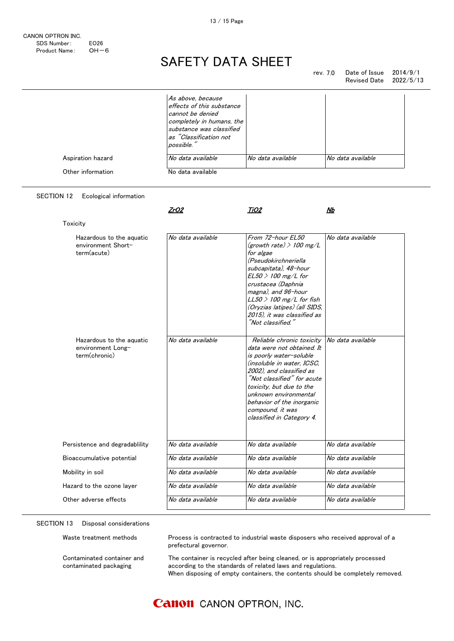#### SAFETY DATA SHEET  $\Lambda$  cctv  $\mathbf{v}$  and  $\mathbf{v}$  is the set using  $\mathbf{v}$

| Aspiration hazard<br>Other information                         | As above, because<br>effects of this substance<br>cannot be denied<br>completely in humans, the<br>substance was classified<br>as "Classification not<br>possible."<br>No data available<br>No data available | No data available                                                                                                                                                                                                                                                                                             | No data available |
|----------------------------------------------------------------|---------------------------------------------------------------------------------------------------------------------------------------------------------------------------------------------------------------|---------------------------------------------------------------------------------------------------------------------------------------------------------------------------------------------------------------------------------------------------------------------------------------------------------------|-------------------|
| <b>SECTION 12</b><br>Ecological information                    | <u>ZrO2</u>                                                                                                                                                                                                   | <u>TiO2</u>                                                                                                                                                                                                                                                                                                   | Nb                |
| Toxicity                                                       |                                                                                                                                                                                                               |                                                                                                                                                                                                                                                                                                               |                   |
| Hazardous to the aguatic<br>environment Short-<br>term(acute)  | No data available                                                                                                                                                                                             | From 72-hour EL50<br>(growth rate) $>$ 100 mg/L<br>for algae<br>(Pseudokirchneriella<br>subcapitata), 48-hour<br>$EL50 > 100$ mg/L for<br>crustacea (Daphnia<br>magna), and 96-hour<br>$LL50 > 100$ mg/L for fish<br>(Oryzias latipes) (all SIDS,<br>2015), it was classified as<br>"Not classified."         | No data available |
| Hazardous to the aquatic<br>environment Long-<br>term(chronic) | No data available                                                                                                                                                                                             | Reliable chronic toxicity<br>data were not obtained. It<br>is poorly water-soluble<br>(insoluble in water, ICSC,<br>2002), and classified as<br>"Not classified" for acute<br>toxicity, but due to the<br>unknown environmental<br>behavior of the inorganic<br>compound, it was<br>classified in Category 4. | No data available |
| Persistence and degradablility                                 | No data available                                                                                                                                                                                             | No data available                                                                                                                                                                                                                                                                                             | No data available |
| Bioaccumulative potential                                      | No data available                                                                                                                                                                                             | No data available                                                                                                                                                                                                                                                                                             | No data available |
| Mobility in soil                                               | No data available                                                                                                                                                                                             | No data available                                                                                                                                                                                                                                                                                             | No data available |
| Hazard to the ozone layer                                      | No data available                                                                                                                                                                                             | No data available                                                                                                                                                                                                                                                                                             | No data available |
| Other adverse effects                                          | No data available                                                                                                                                                                                             | No data available                                                                                                                                                                                                                                                                                             | No data available |

#### SECTION 13 Disposal considerations

| Waste treatment methods                              | Process is contracted to industrial waste disposers who received approval of a<br>prefectural governor.                                                                                                                       |
|------------------------------------------------------|-------------------------------------------------------------------------------------------------------------------------------------------------------------------------------------------------------------------------------|
| Contaminated container and<br>contaminated packaging | The container is recycled after being cleaned, or is appropriately processed<br>according to the standards of related laws and regulations.<br>When disposing of empty containers, the contents should be completely removed. |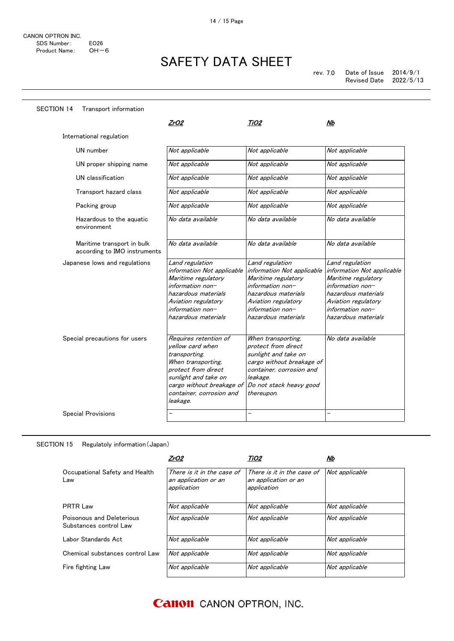| <b>SECTION 14</b>             | Transport information                                      |                                                                                                                                                                                                      |                                                                                                                                                                                   |                                                                                                                                                                                   |
|-------------------------------|------------------------------------------------------------|------------------------------------------------------------------------------------------------------------------------------------------------------------------------------------------------------|-----------------------------------------------------------------------------------------------------------------------------------------------------------------------------------|-----------------------------------------------------------------------------------------------------------------------------------------------------------------------------------|
|                               |                                                            | ZrO2                                                                                                                                                                                                 | TiO <sub>2</sub>                                                                                                                                                                  | Nb                                                                                                                                                                                |
| International regulation      |                                                            |                                                                                                                                                                                                      |                                                                                                                                                                                   |                                                                                                                                                                                   |
| UN number                     |                                                            | Not applicable                                                                                                                                                                                       | Not applicable                                                                                                                                                                    | Not applicable                                                                                                                                                                    |
|                               | UN proper shipping name                                    | Not applicable                                                                                                                                                                                       | Not applicable                                                                                                                                                                    | Not applicable                                                                                                                                                                    |
| UN classification             |                                                            | Not applicable                                                                                                                                                                                       | Not applicable                                                                                                                                                                    | Not applicable                                                                                                                                                                    |
|                               | Transport hazard class                                     | Not applicable                                                                                                                                                                                       | Not applicable                                                                                                                                                                    | Not applicable                                                                                                                                                                    |
| Packing group                 |                                                            | Not applicable                                                                                                                                                                                       | Not applicable                                                                                                                                                                    | Not applicable                                                                                                                                                                    |
| environment                   | Hazardous to the aquatic                                   | No data available                                                                                                                                                                                    | No data available                                                                                                                                                                 | No data available                                                                                                                                                                 |
|                               | Maritime transport in bulk<br>according to IMO instruments | No data available                                                                                                                                                                                    | No data available                                                                                                                                                                 | No data available                                                                                                                                                                 |
|                               | Japanese lows and regulations                              | Land regulation<br>information Not applicable<br>Maritime regulatory<br>information non-<br>hazardous materials<br>Aviation regulatory<br>information non-<br>hazardous materials                    | Land regulation<br>information Not applicable<br>Maritime regulatory<br>information non-<br>hazardous materials<br>Aviation regulatory<br>information non-<br>hazardous materials | Land regulation<br>information Not applicable<br>Maritime regulatory<br>information non-<br>hazardous materials<br>Aviation regulatory<br>information non-<br>hazardous materials |
| Special precautions for users |                                                            | Requires retention of<br>yellow card when<br>transporting.<br>When transporting.<br>protect from direct<br>sunlight and take on<br>cargo without breakage of<br>container, corrosion and<br>leakage. | When transporting,<br>protect from direct<br>sunlight and take on<br>cargo without breakage of<br>container, corrosion and<br>leakage.<br>Do not stack heavy good<br>thereupon.   | No data available                                                                                                                                                                 |
| <b>Special Provisions</b>     |                                                            |                                                                                                                                                                                                      | -                                                                                                                                                                                 | $\overline{\phantom{0}}$                                                                                                                                                          |

#### SECTION 15 Regulatoly information(Japan)

|                                                     | ZrO2                                                              | TiO2                                                              | Nb             |
|-----------------------------------------------------|-------------------------------------------------------------------|-------------------------------------------------------------------|----------------|
| Occupational Safety and Health<br>Law               | There is it in the case of<br>an application or an<br>application | There is it in the case of<br>an application or an<br>application | Not applicable |
| <b>PRTR Law</b>                                     | Not applicable                                                    | Not applicable                                                    | Not applicable |
| Poisonous and Deleterious<br>Substances control Law | Not applicable                                                    | Not applicable                                                    | Not applicable |
| Labor Standards Act.                                | Not applicable                                                    | Not applicable                                                    | Not applicable |
| Chemical substances control Law                     | Not applicable                                                    | Not applicable                                                    | Not applicable |
| Fire fighting Law                                   | Not applicable                                                    | Not applicable                                                    | Not applicable |